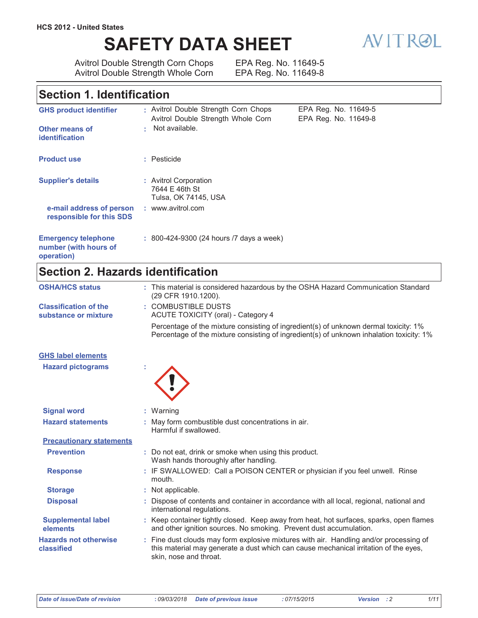# **SAFETY DATA SHEET**



Avitrol Double Strength Corn Chops<br>Avitrol Double Strength Whole Corn

EPA Reg. No. 11649-5 EPA Reg. No. 11649-8

## Section 1. Identification

| <b>GHS product identifier</b><br>Other means of                   | : Avitrol Double Strength Corn Chops<br>Avitrol Double Strength Whole Corn<br>Not available. | EPA Reg. No. 11649-5<br>EPA Reg. No. 11649-8 |
|-------------------------------------------------------------------|----------------------------------------------------------------------------------------------|----------------------------------------------|
| <b>identification</b>                                             |                                                                                              |                                              |
| <b>Product use</b>                                                | : Pesticide                                                                                  |                                              |
| <b>Supplier's details</b>                                         | : Avitrol Corporation<br>7644 E 46th St<br>Tulsa, OK 74145, USA                              |                                              |
| e-mail address of person<br>responsible for this SDS              | : www.avitrol.com                                                                            |                                              |
| <b>Emergency telephone</b><br>number (with hours of<br>operation) | : 800-424-9300 (24 hours /7 days a week)                                                     |                                              |

# Section 2. Hazards identification

| <b>OSHA/HCS status</b>                               | : This material is considered hazardous by the OSHA Hazard Communication Standard<br>(29 CFR 1910.1200).                                                                                                 |
|------------------------------------------------------|----------------------------------------------------------------------------------------------------------------------------------------------------------------------------------------------------------|
| <b>Classification of the</b><br>substance or mixture | : COMBUSTIBLE DUSTS<br><b>ACUTE TOXICITY (oral) - Category 4</b>                                                                                                                                         |
|                                                      | Percentage of the mixture consisting of ingredient(s) of unknown dermal toxicity: 1%<br>Percentage of the mixture consisting of ingredient(s) of unknown inhalation toxicity: 1%                         |
| <b>GHS label elements</b>                            |                                                                                                                                                                                                          |
| <b>Hazard pictograms</b>                             |                                                                                                                                                                                                          |
| <b>Signal word</b>                                   | : Warning                                                                                                                                                                                                |
| <b>Hazard statements</b>                             | : May form combustible dust concentrations in air.<br>Harmful if swallowed.                                                                                                                              |
| <b>Precautionary statements</b>                      |                                                                                                                                                                                                          |
| <b>Prevention</b>                                    | : Do not eat, drink or smoke when using this product.<br>Wash hands thoroughly after handling.                                                                                                           |
| <b>Response</b>                                      | : IF SWALLOWED: Call a POISON CENTER or physician if you feel unwell. Rinse<br>mouth.                                                                                                                    |
| <b>Storage</b>                                       | : Not applicable.                                                                                                                                                                                        |
| <b>Disposal</b>                                      | Dispose of contents and container in accordance with all local, regional, national and<br>international regulations.                                                                                     |
| <b>Supplemental label</b><br>elements                | : Keep container tightly closed. Keep away from heat, hot surfaces, sparks, open flames<br>and other ignition sources. No smoking. Prevent dust accumulation.                                            |
| <b>Hazards not otherwise</b><br>classified           | : Fine dust clouds may form explosive mixtures with air. Handling and/or processing of<br>this material may generate a dust which can cause mechanical irritation of the eyes,<br>skin, nose and throat. |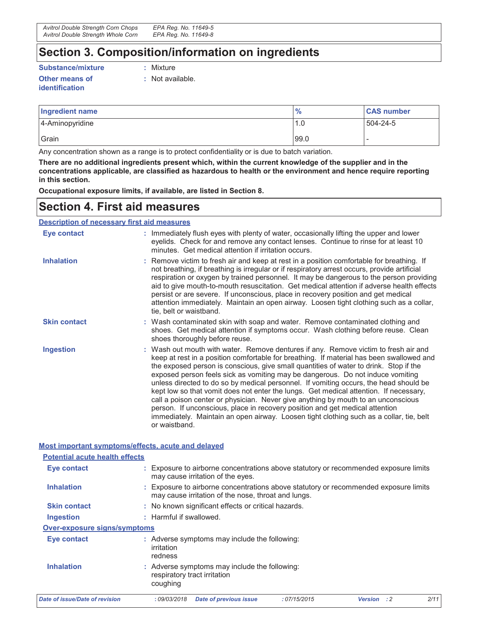### Section 3. Composition/information on ingredients

#### **Substance/mixture**

Other means of **identification** 

: Mixture

: Not available.

| Ingredient name | $\frac{9}{6}$         | <b>CAS number</b> |
|-----------------|-----------------------|-------------------|
| 4-Aminopyridine | 1.0<br>$\overline{ }$ | 504-24-5          |
| Grain           | 99.0                  |                   |

Any concentration shown as a range is to protect confidentiality or is due to batch variation.

There are no additional ingredients present which, within the current knowledge of the supplier and in the concentrations applicable, are classified as hazardous to health or the environment and hence require reporting in this section.

Occupational exposure limits, if available, are listed in Section 8.

# **Section 4. First aid measures**

**Description of necessary first aid measures** 

| Eye contact         | : Immediately flush eyes with plenty of water, occasionally lifting the upper and lower<br>eyelids. Check for and remove any contact lenses. Continue to rinse for at least 10<br>minutes. Get medical attention if irritation occurs.                                                                                                                                                                                                                                                                                                                                                                                                                                                                                                                                                                                        |
|---------------------|-------------------------------------------------------------------------------------------------------------------------------------------------------------------------------------------------------------------------------------------------------------------------------------------------------------------------------------------------------------------------------------------------------------------------------------------------------------------------------------------------------------------------------------------------------------------------------------------------------------------------------------------------------------------------------------------------------------------------------------------------------------------------------------------------------------------------------|
| <b>Inhalation</b>   | : Remove victim to fresh air and keep at rest in a position comfortable for breathing. If<br>not breathing, if breathing is irregular or if respiratory arrest occurs, provide artificial<br>respiration or oxygen by trained personnel. It may be dangerous to the person providing<br>aid to give mouth-to-mouth resuscitation. Get medical attention if adverse health effects<br>persist or are severe. If unconscious, place in recovery position and get medical<br>attention immediately. Maintain an open airway. Loosen tight clothing such as a collar,<br>tie, belt or waistband.                                                                                                                                                                                                                                  |
| <b>Skin contact</b> | : Wash contaminated skin with soap and water. Remove contaminated clothing and<br>shoes. Get medical attention if symptoms occur. Wash clothing before reuse. Clean<br>shoes thoroughly before reuse.                                                                                                                                                                                                                                                                                                                                                                                                                                                                                                                                                                                                                         |
| <b>Ingestion</b>    | : Wash out mouth with water. Remove dentures if any. Remove victim to fresh air and<br>keep at rest in a position comfortable for breathing. If material has been swallowed and<br>the exposed person is conscious, give small quantities of water to drink. Stop if the<br>exposed person feels sick as vomiting may be dangerous. Do not induce vomiting<br>unless directed to do so by medical personnel. If vomiting occurs, the head should be<br>kept low so that vomit does not enter the lungs. Get medical attention. If necessary,<br>call a poison center or physician. Never give anything by mouth to an unconscious<br>person. If unconscious, place in recovery position and get medical attention<br>immediately. Maintain an open airway. Loosen tight clothing such as a collar, tie, belt<br>or waistband. |

### Most important symptoms/effects, acute and delayed

| <b>Potential acute health effects</b> |                                                                                                                                             |  |
|---------------------------------------|---------------------------------------------------------------------------------------------------------------------------------------------|--|
| <b>Eye contact</b>                    | : Exposure to airborne concentrations above statutory or recommended exposure limits<br>may cause irritation of the eyes.                   |  |
| <b>Inhalation</b>                     | : Exposure to airborne concentrations above statutory or recommended exposure limits<br>may cause irritation of the nose, throat and lungs. |  |
| <b>Skin contact</b>                   | : No known significant effects or critical hazards.                                                                                         |  |
| Ingestion                             | : Harmful if swallowed.                                                                                                                     |  |
| Over-exposure signs/symptoms          |                                                                                                                                             |  |
| Eye contact                           | : Adverse symptoms may include the following:<br>irritation<br>redness                                                                      |  |
| <b>Inhalation</b>                     | : Adverse symptoms may include the following:<br>respiratory tract irritation<br>coughing                                                   |  |
| Date of issue/Date of revision        | 2/11<br><b>Date of previous issue</b><br>:07/15/2015<br>: 09/03/2018<br><b>Version</b><br>$\cdot$ : 2                                       |  |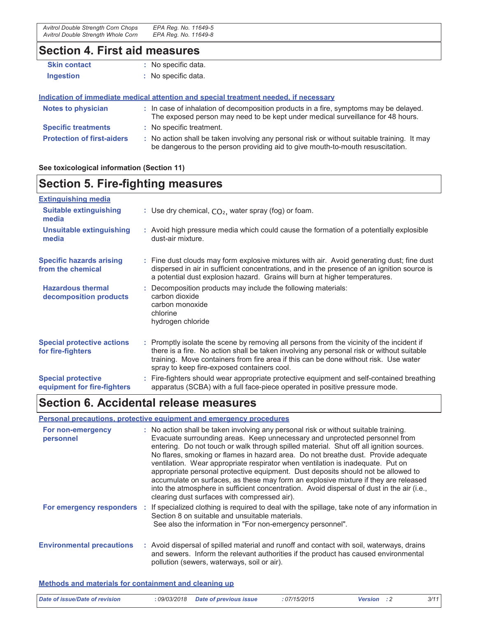| Avitrol Double Strength Corn Chops | EPA Reg. No. 11649-5 |
|------------------------------------|----------------------|
| Avitrol Double Strength Whole Corn | EPA Reg. No. 11649-8 |

# Section 4. First aid measures

| <b>Skin contact</b>               | : No specific data.                                                                                                                                                           |
|-----------------------------------|-------------------------------------------------------------------------------------------------------------------------------------------------------------------------------|
| <b>Ingestion</b>                  | : No specific data.                                                                                                                                                           |
|                                   | Indication of immediate medical attention and special treatment needed, if necessary                                                                                          |
| <b>Notes to physician</b>         | : In case of inhalation of decomposition products in a fire, symptoms may be delayed.<br>The exposed person may need to be kept under medical surveillance for 48 hours.      |
| <b>Specific treatments</b>        | : No specific treatment.                                                                                                                                                      |
| <b>Protection of first-aiders</b> | : No action shall be taken involving any personal risk or without suitable training. It may<br>be dangerous to the person providing aid to give mouth-to-mouth resuscitation. |

See toxicological information (Section 11)

# **Section 5. Fire-fighting measures**

# **Extinguishing media**

| <b>Suitable extinguishing</b><br>media                   | : Use dry chemical, $CO2$ , water spray (fog) or foam.                                                                                                                                                                                                                                                                        |
|----------------------------------------------------------|-------------------------------------------------------------------------------------------------------------------------------------------------------------------------------------------------------------------------------------------------------------------------------------------------------------------------------|
| <b>Unsuitable extinguishing</b><br>media                 | : Avoid high pressure media which could cause the formation of a potentially explosible<br>dust-air mixture.                                                                                                                                                                                                                  |
| <b>Specific hazards arising</b><br>from the chemical     | : Fine dust clouds may form explosive mixtures with air. Avoid generating dust; fine dust<br>dispersed in air in sufficient concentrations, and in the presence of an ignition source is<br>a potential dust explosion hazard. Grains will burn at higher temperatures.                                                       |
| <b>Hazardous thermal</b><br>decomposition products       | : Decomposition products may include the following materials:<br>carbon dioxide<br>carbon monoxide<br>chlorine<br>hydrogen chloride                                                                                                                                                                                           |
| <b>Special protective actions</b><br>for fire-fighters   | : Promptly isolate the scene by removing all persons from the vicinity of the incident if<br>there is a fire. No action shall be taken involving any personal risk or without suitable<br>training. Move containers from fire area if this can be done without risk. Use water<br>spray to keep fire-exposed containers cool. |
| <b>Special protective</b><br>equipment for fire-fighters | : Fire-fighters should wear appropriate protective equipment and self-contained breathing<br>apparatus (SCBA) with a full face-piece operated in positive pressure mode.                                                                                                                                                      |

# Section 6. Accidental release measures

### Personal precautions, protective equipment and emergency procedures

| For non-emergency<br>personnel   | : No action shall be taken involving any personal risk or without suitable training.<br>Evacuate surrounding areas. Keep unnecessary and unprotected personnel from<br>entering. Do not touch or walk through spilled material. Shut off all ignition sources.<br>No flares, smoking or flames in hazard area. Do not breathe dust. Provide adequate<br>ventilation. Wear appropriate respirator when ventilation is inadequate. Put on<br>appropriate personal protective equipment. Dust deposits should not be allowed to<br>accumulate on surfaces, as these may form an explosive mixture if they are released<br>into the atmosphere in sufficient concentration. Avoid dispersal of dust in the air (i.e.,<br>clearing dust surfaces with compressed air). |
|----------------------------------|-------------------------------------------------------------------------------------------------------------------------------------------------------------------------------------------------------------------------------------------------------------------------------------------------------------------------------------------------------------------------------------------------------------------------------------------------------------------------------------------------------------------------------------------------------------------------------------------------------------------------------------------------------------------------------------------------------------------------------------------------------------------|
|                                  | For emergency responders : If specialized clothing is required to deal with the spillage, take note of any information in<br>Section 8 on suitable and unsuitable materials.<br>See also the information in "For non-emergency personnel".                                                                                                                                                                                                                                                                                                                                                                                                                                                                                                                        |
| <b>Environmental precautions</b> | : Avoid dispersal of spilled material and runoff and contact with soil, waterways, drains<br>and sewers. Inform the relevant authorities if the product has caused environmental<br>pollution (sewers, waterways, soil or air).                                                                                                                                                                                                                                                                                                                                                                                                                                                                                                                                   |

#### Methods and materials for containment and cleaning up

| Date of issue/Date of revision | : 09/03/2018 Date of previous issue | :07/15/2015 | <b>Version</b> : 2 | 3/11 |
|--------------------------------|-------------------------------------|-------------|--------------------|------|
|                                |                                     |             |                    |      |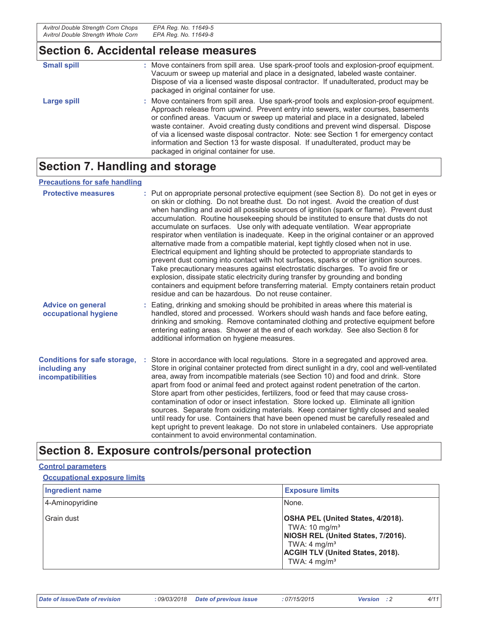### Section 6. Accidental release measures

| <b>Small spill</b> | : Move containers from spill area. Use spark-proof tools and explosion-proof equipment.<br>Vacuum or sweep up material and place in a designated, labeled waste container.<br>Dispose of via a licensed waste disposal contractor. If unadulterated, product may be<br>packaged in original container for use.                                                                                                                                                                                                                                                                    |
|--------------------|-----------------------------------------------------------------------------------------------------------------------------------------------------------------------------------------------------------------------------------------------------------------------------------------------------------------------------------------------------------------------------------------------------------------------------------------------------------------------------------------------------------------------------------------------------------------------------------|
| Large spill        | : Move containers from spill area. Use spark-proof tools and explosion-proof equipment.<br>Approach release from upwind. Prevent entry into sewers, water courses, basements<br>or confined areas. Vacuum or sweep up material and place in a designated, labeled<br>waste container. Avoid creating dusty conditions and prevent wind dispersal. Dispose<br>of via a licensed waste disposal contractor. Note: see Section 1 for emergency contact<br>information and Section 13 for waste disposal. If unadulterated, product may be<br>packaged in original container for use. |

# **Section 7. Handling and storage**

### **Precautions for safe handling**

| <b>Protective measures</b>                                                | : Put on appropriate personal protective equipment (see Section 8). Do not get in eyes or<br>on skin or clothing. Do not breathe dust. Do not ingest. Avoid the creation of dust<br>when handling and avoid all possible sources of ignition (spark or flame). Prevent dust<br>accumulation. Routine housekeeping should be instituted to ensure that dusts do not<br>accumulate on surfaces. Use only with adequate ventilation. Wear appropriate<br>respirator when ventilation is inadequate. Keep in the original container or an approved<br>alternative made from a compatible material, kept tightly closed when not in use.<br>Electrical equipment and lighting should be protected to appropriate standards to<br>prevent dust coming into contact with hot surfaces, sparks or other ignition sources.<br>Take precautionary measures against electrostatic discharges. To avoid fire or<br>explosion, dissipate static electricity during transfer by grounding and bonding<br>containers and equipment before transferring material. Empty containers retain product<br>residue and can be hazardous. Do not reuse container. |
|---------------------------------------------------------------------------|--------------------------------------------------------------------------------------------------------------------------------------------------------------------------------------------------------------------------------------------------------------------------------------------------------------------------------------------------------------------------------------------------------------------------------------------------------------------------------------------------------------------------------------------------------------------------------------------------------------------------------------------------------------------------------------------------------------------------------------------------------------------------------------------------------------------------------------------------------------------------------------------------------------------------------------------------------------------------------------------------------------------------------------------------------------------------------------------------------------------------------------------|
| <b>Advice on general</b><br>occupational hygiene                          | : Eating, drinking and smoking should be prohibited in areas where this material is<br>handled, stored and processed. Workers should wash hands and face before eating,<br>drinking and smoking. Remove contaminated clothing and protective equipment before<br>entering eating areas. Shower at the end of each workday. See also Section 8 for<br>additional information on hygiene measures.                                                                                                                                                                                                                                                                                                                                                                                                                                                                                                                                                                                                                                                                                                                                           |
| <b>Conditions for safe storage,</b><br>including any<br>incompatibilities | Store in accordance with local regulations. Store in a segregated and approved area.<br>Store in original container protected from direct sunlight in a dry, cool and well-ventilated<br>area, away from incompatible materials (see Section 10) and food and drink. Store<br>apart from food or animal feed and protect against rodent penetration of the carton.<br>Store apart from other pesticides, fertilizers, food or feed that may cause cross-<br>contamination of odor or insect infestation. Store locked up. Eliminate all ignition<br>sources. Separate from oxidizing materials. Keep container tightly closed and sealed<br>until ready for use. Containers that have been opened must be carefully resealed and<br>kept upright to prevent leakage. Do not store in unlabeled containers. Use appropriate<br>containment to avoid environmental contamination.                                                                                                                                                                                                                                                            |

# Section 8. Exposure controls/personal protection

#### **Control parameters**

#### **Occupational exposure limits**

| Ingredient name | <b>Exposure limits</b>                                                                                                                                                                                |
|-----------------|-------------------------------------------------------------------------------------------------------------------------------------------------------------------------------------------------------|
| 4-Aminopyridine | INone.                                                                                                                                                                                                |
| l Grain dust    | OSHA PEL (United States, 4/2018).<br>TWA: $10 \text{ mg/m}^3$<br>NIOSH REL (United States, 7/2016).<br>TWA: 4 mg/m <sup>3</sup><br><b>ACGIH TLV (United States, 2018).</b><br>TWA: $4 \text{ mg/m}^3$ |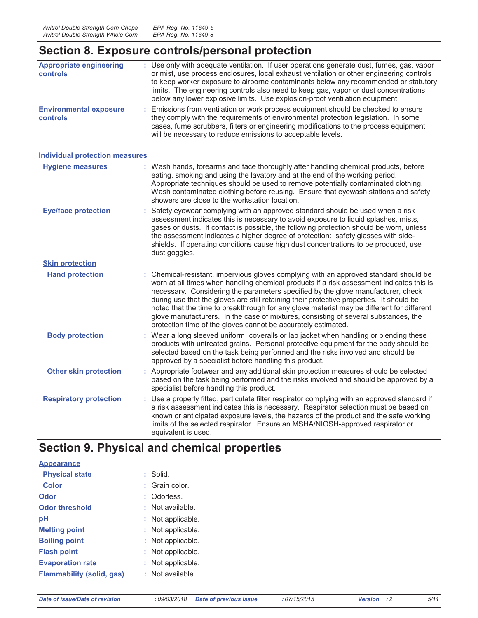## Section 8. Exposure controls/personal protection

| <b>Appropriate engineering</b><br>controls       | : Use only with adequate ventilation. If user operations generate dust, fumes, gas, vapor<br>or mist, use process enclosures, local exhaust ventilation or other engineering controls<br>to keep worker exposure to airborne contaminants below any recommended or statutory<br>limits. The engineering controls also need to keep gas, vapor or dust concentrations<br>below any lower explosive limits. Use explosion-proof ventilation equipment.                                                                                                                                                                   |
|--------------------------------------------------|------------------------------------------------------------------------------------------------------------------------------------------------------------------------------------------------------------------------------------------------------------------------------------------------------------------------------------------------------------------------------------------------------------------------------------------------------------------------------------------------------------------------------------------------------------------------------------------------------------------------|
| <b>Environmental exposure</b><br><b>controls</b> | : Emissions from ventilation or work process equipment should be checked to ensure<br>they comply with the requirements of environmental protection legislation. In some<br>cases, fume scrubbers, filters or engineering modifications to the process equipment<br>will be necessary to reduce emissions to acceptable levels.                                                                                                                                                                                                                                                                                        |
| <b>Individual protection measures</b>            |                                                                                                                                                                                                                                                                                                                                                                                                                                                                                                                                                                                                                        |
| <b>Hygiene measures</b>                          | : Wash hands, forearms and face thoroughly after handling chemical products, before<br>eating, smoking and using the lavatory and at the end of the working period.<br>Appropriate techniques should be used to remove potentially contaminated clothing.<br>Wash contaminated clothing before reusing. Ensure that eyewash stations and safety<br>showers are close to the workstation location.                                                                                                                                                                                                                      |
| <b>Eye/face protection</b>                       | : Safety eyewear complying with an approved standard should be used when a risk<br>assessment indicates this is necessary to avoid exposure to liquid splashes, mists,<br>gases or dusts. If contact is possible, the following protection should be worn, unless<br>the assessment indicates a higher degree of protection: safety glasses with side-<br>shields. If operating conditions cause high dust concentrations to be produced, use<br>dust goggles.                                                                                                                                                         |
| <b>Skin protection</b>                           |                                                                                                                                                                                                                                                                                                                                                                                                                                                                                                                                                                                                                        |
| <b>Hand protection</b>                           | : Chemical-resistant, impervious gloves complying with an approved standard should be<br>worn at all times when handling chemical products if a risk assessment indicates this is<br>necessary. Considering the parameters specified by the glove manufacturer, check<br>during use that the gloves are still retaining their protective properties. It should be<br>noted that the time to breakthrough for any glove material may be different for different<br>glove manufacturers. In the case of mixtures, consisting of several substances, the<br>protection time of the gloves cannot be accurately estimated. |
| <b>Body protection</b>                           | : Wear a long sleeved uniform, coveralls or lab jacket when handling or blending these<br>products with untreated grains. Personal protective equipment for the body should be<br>selected based on the task being performed and the risks involved and should be<br>approved by a specialist before handling this product.                                                                                                                                                                                                                                                                                            |
| <b>Other skin protection</b>                     | : Appropriate footwear and any additional skin protection measures should be selected<br>based on the task being performed and the risks involved and should be approved by a<br>specialist before handling this product.                                                                                                                                                                                                                                                                                                                                                                                              |
| <b>Respiratory protection</b>                    | : Use a properly fitted, particulate filter respirator complying with an approved standard if<br>a risk assessment indicates this is necessary. Respirator selection must be based on<br>known or anticipated exposure levels, the hazards of the product and the safe working<br>limits of the selected respirator. Ensure an MSHA/NIOSH-approved respirator or<br>equivalent is used.                                                                                                                                                                                                                                |

# Section 9. Physical and chemical properties

| <b>Appearance</b>         |                        |
|---------------------------|------------------------|
| <b>Physical state</b>     | $:$ Solid.             |
| Color                     | : Grain color.         |
| Odor                      | : Odorless.            |
| <b>Odor threshold</b>     | $\cdot$ Not available. |
| рH                        | : Not applicable.      |
| <b>Melting point</b>      | : Not applicable.      |
| <b>Boiling point</b>      | : Not applicable.      |
| <b>Flash point</b>        | : Not applicable.      |
| <b>Evaporation rate</b>   | : Not applicable.      |
| Flammability (solid, gas) | : Not available.       |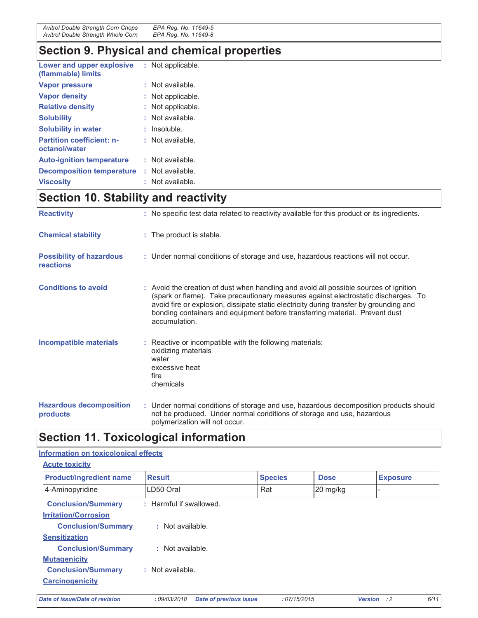| Avitrol Double Strength Corn Chops | EPA Reg. No. 11649-5 |
|------------------------------------|----------------------|
| Avitrol Double Strength Whole Corn | EPA Reg. No. 11649-8 |

# **Section 9. Physical and chemical properties**

| Lower and upper explosive<br>(flammable) limits   | : Not applicable. |
|---------------------------------------------------|-------------------|
| <b>Vapor pressure</b>                             | Not available.    |
| <b>Vapor density</b>                              | Not applicable.   |
| <b>Relative density</b>                           | Not applicable.   |
| <b>Solubility</b>                                 | Not available.    |
| <b>Solubility in water</b>                        | Insoluble.        |
| <b>Partition coefficient: n-</b><br>octanol/water | Not available.    |
| <b>Auto-ignition temperature</b>                  | Not available.    |
| <b>Decomposition temperature</b>                  | : Not available.  |
| <b>Viscosity</b>                                  | Not available.    |

# Section 10. Stability and reactivity

| <b>Reactivity</b>                            | : No specific test data related to reactivity available for this product or its ingredients.                                                                                                                                                                                                                                                                          |
|----------------------------------------------|-----------------------------------------------------------------------------------------------------------------------------------------------------------------------------------------------------------------------------------------------------------------------------------------------------------------------------------------------------------------------|
|                                              |                                                                                                                                                                                                                                                                                                                                                                       |
| <b>Chemical stability</b>                    | : The product is stable.                                                                                                                                                                                                                                                                                                                                              |
|                                              |                                                                                                                                                                                                                                                                                                                                                                       |
| <b>Possibility of hazardous</b><br>reactions | : Under normal conditions of storage and use, hazardous reactions will not occur.                                                                                                                                                                                                                                                                                     |
| <b>Conditions to avoid</b>                   | : Avoid the creation of dust when handling and avoid all possible sources of ignition<br>(spark or flame). Take precautionary measures against electrostatic discharges. To<br>avoid fire or explosion, dissipate static electricity during transfer by grounding and<br>bonding containers and equipment before transferring material. Prevent dust<br>accumulation. |
| <b>Incompatible materials</b>                | : Reactive or incompatible with the following materials:<br>oxidizing materials<br>water<br>excessive heat<br>fire<br>chemicals                                                                                                                                                                                                                                       |
| <b>Hazardous decomposition</b><br>products   | : Under normal conditions of storage and use, hazardous decomposition products should<br>not be produced. Under normal conditions of storage and use, hazardous<br>polymerization will not occur.                                                                                                                                                                     |

# **Section 11. Toxicological information**

### Information on toxicological effects

| <b>Acute toxicity</b>          |                         |                |             |                 |
|--------------------------------|-------------------------|----------------|-------------|-----------------|
| <b>Product/ingredient name</b> | <b>Result</b>           | <b>Species</b> | <b>Dose</b> | <b>Exposure</b> |
| 4-Aminopyridine                | LD50 Oral               | Rat            | 20 mg/kg    |                 |
| <b>Conclusion/Summary</b>      | : Harmful if swallowed. |                |             |                 |
| <b>Irritation/Corrosion</b>    |                         |                |             |                 |
| <b>Conclusion/Summary</b>      | : Not available.        |                |             |                 |
| <b>Sensitization</b>           |                         |                |             |                 |
| <b>Conclusion/Summary</b>      | : Not available.        |                |             |                 |
| <b>Mutagenicity</b>            |                         |                |             |                 |
| <b>Conclusion/Summary</b>      | $:$ Not available.      |                |             |                 |
| <b>Carcinogenicity</b>         |                         |                |             |                 |
|                                |                         |                |             |                 |

Date of issue/Date of revision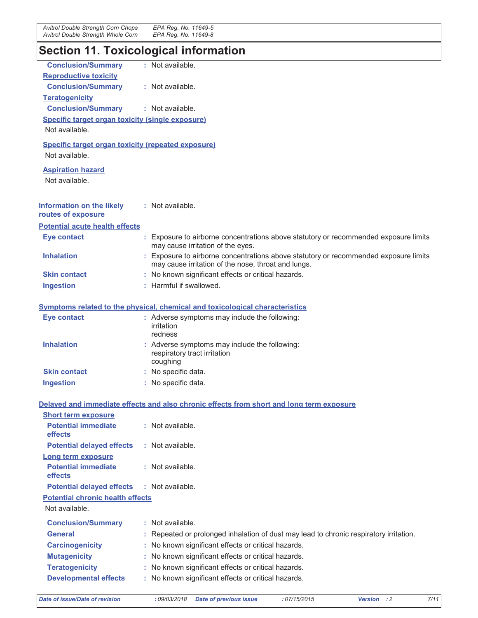# **Section 11. Toxicological information**

| <b>Conclusion/Summary</b>                                 | : Not available.                                                                                                          |
|-----------------------------------------------------------|---------------------------------------------------------------------------------------------------------------------------|
| <b>Reproductive toxicity</b>                              |                                                                                                                           |
| <b>Conclusion/Summary</b>                                 | : Not available.                                                                                                          |
| <b>Teratogenicity</b>                                     |                                                                                                                           |
| <b>Conclusion/Summary</b>                                 | : Not available.                                                                                                          |
| <b>Specific target organ toxicity (single exposure)</b>   |                                                                                                                           |
| Not available.                                            |                                                                                                                           |
| <b>Specific target organ toxicity (repeated exposure)</b> |                                                                                                                           |
| Not available.                                            |                                                                                                                           |
|                                                           |                                                                                                                           |
| <b>Aspiration hazard</b>                                  |                                                                                                                           |
| Not available.                                            |                                                                                                                           |
|                                                           |                                                                                                                           |
| <b>Information on the likely</b>                          | : Not available.                                                                                                          |
| routes of exposure                                        |                                                                                                                           |
| <b>Potential acute health effects</b>                     |                                                                                                                           |
| <b>Eye contact</b>                                        | : Exposure to airborne concentrations above statutory or recommended exposure limits                                      |
| <b>Inhalation</b>                                         | may cause irritation of the eyes.<br>: Exposure to airborne concentrations above statutory or recommended exposure limits |
|                                                           | may cause irritation of the nose, throat and lungs.                                                                       |
| <b>Skin contact</b>                                       | : No known significant effects or critical hazards.                                                                       |
| <b>Ingestion</b>                                          | : Harmful if swallowed.                                                                                                   |
|                                                           |                                                                                                                           |
|                                                           | Symptoms related to the physical, chemical and toxicological characteristics                                              |
| <b>Eye contact</b>                                        | : Adverse symptoms may include the following:                                                                             |
|                                                           | irritation                                                                                                                |
|                                                           | redness                                                                                                                   |
| <b>Inhalation</b>                                         | : Adverse symptoms may include the following:<br>respiratory tract irritation                                             |
|                                                           | coughing                                                                                                                  |
| <b>Skin contact</b>                                       | : No specific data.                                                                                                       |
| <b>Ingestion</b>                                          | : No specific data.                                                                                                       |
|                                                           |                                                                                                                           |
|                                                           | Delayed and immediate effects and also chronic effects from short and long term exposure                                  |
| <b>Short term exposure</b>                                |                                                                                                                           |
| <b>Potential immediate</b>                                | : Not available.                                                                                                          |
| effects                                                   |                                                                                                                           |
| <b>Potential delayed effects</b>                          | : Not available.                                                                                                          |
| Long term exposure                                        |                                                                                                                           |
| <b>Potential immediate</b>                                | : Not available.                                                                                                          |
| <b>effects</b>                                            |                                                                                                                           |
| <b>Potential delayed effects</b>                          | : Not available.                                                                                                          |
| <b>Potential chronic health effects</b>                   |                                                                                                                           |
| Not available.                                            |                                                                                                                           |
| <b>Conclusion/Summary</b>                                 | : Not available.                                                                                                          |
| <b>General</b>                                            | : Repeated or prolonged inhalation of dust may lead to chronic respiratory irritation.                                    |
| <b>Carcinogenicity</b>                                    | : No known significant effects or critical hazards.                                                                       |
| <b>Mutagenicity</b>                                       | : No known significant effects or critical hazards.                                                                       |
| <b>Teratogenicity</b>                                     | No known significant effects or critical hazards.                                                                         |
| <b>Developmental effects</b>                              | : No known significant effects or critical hazards.                                                                       |
|                                                           |                                                                                                                           |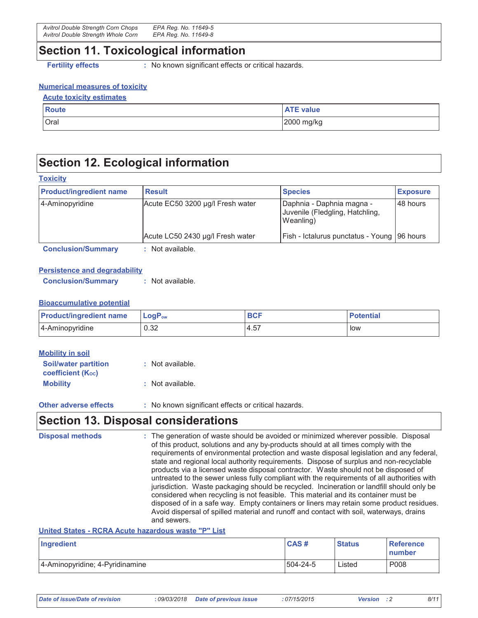### **Section 11. Toxicological information**

**Fertility effects** 

: No known significant effects or critical hazards.

#### **Numerical measures of toxicity**

| <b>Acute toxicity estimates</b> |                  |  |
|---------------------------------|------------------|--|
| <b>Route</b>                    | <b>ATE value</b> |  |
| Oral                            | 2000 mg/kg       |  |

## **Section 12. Ecological information**

| <b>Product/ingredient name</b> | <b>Result</b>                    | <b>Species</b>                                                            | <b>Exposure</b> |
|--------------------------------|----------------------------------|---------------------------------------------------------------------------|-----------------|
| 4-Aminopyridine                | Acute EC50 3200 µg/l Fresh water | Daphnia - Daphnia magna -<br>Juvenile (Fledgling, Hatchling,<br>Weanling) | 148 hours       |
|                                | Acute LC50 2430 µg/l Fresh water | Fish - Ictalurus punctatus - Young   96 hours                             |                 |
| <b>Conclusion/Summary</b>      | Not available.                   |                                                                           |                 |

### **Persistence and degradability**

**Conclusion/Summary** : Not available.

#### **Bioaccumulative potential**

| <b>Product/ingredient name</b> | $\mathsf{LogP}_\mathsf{ow}$ | <b>BCF</b> | <b>Potential</b> |
|--------------------------------|-----------------------------|------------|------------------|
| 4-Aminopyridine                | 0.32                        | 4.57       | low              |

| <b>Mobility in soil</b>                                 |                                                            |
|---------------------------------------------------------|------------------------------------------------------------|
| <b>Soil/water partition</b><br><b>coefficient (Koc)</b> | : Not available.                                           |
| <b>Mobility</b>                                         | : Not available.                                           |
| Other collection of the sta-                            | . Nie tweeder also ifice of a ffecte communication because |

**Other adverse effects** : No known significant effects or critical hazards.

### **Section 13. Disposal considerations**

**Disposal methods** : The generation of waste should be avoided or minimized wherever possible. Disposal of this product, solutions and any by-products should at all times comply with the requirements of environmental protection and waste disposal legislation and any federal. state and regional local authority requirements. Dispose of surplus and non-recyclable products via a licensed waste disposal contractor. Waste should not be disposed of untreated to the sewer unless fully compliant with the requirements of all authorities with jurisdiction. Waste packaging should be recycled. Incineration or landfill should only be considered when recycling is not feasible. This material and its container must be disposed of in a safe way. Empty containers or liners may retain some product residues. Avoid dispersal of spilled material and runoff and contact with soil, waterways, drains and sewers.

### United States - RCRA Acute hazardous waste "P" List

| Ingredient                      | CAS#     | <b>Status</b> | <b>Reference</b><br><b>Inumber</b> |
|---------------------------------|----------|---------------|------------------------------------|
| 4-Aminopyridine; 4-Pyridinamine | 504-24-5 | Listed        | P008                               |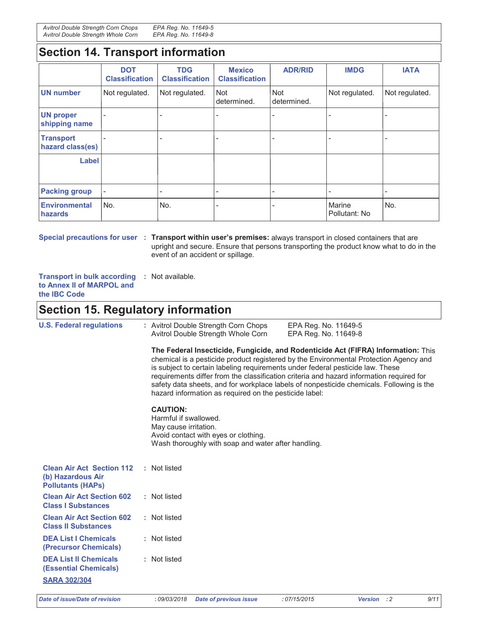Avitrol Double Strength Corn Chops EPA Reg. No. 11649-5 Avitrol Double Strength Whole Corn EPA Reg. No. 11649-8

## **Section 14. Transport information**

|                                      | <b>DOT</b><br><b>Classification</b> | <b>TDG</b><br><b>Classification</b> | <b>Mexico</b><br><b>Classification</b> | <b>ADR/RID</b>            | <b>IMDG</b>             | <b>IATA</b>              |
|--------------------------------------|-------------------------------------|-------------------------------------|----------------------------------------|---------------------------|-------------------------|--------------------------|
| <b>UN number</b>                     | Not regulated.                      | Not regulated.                      | Not<br>determined.                     | <b>Not</b><br>determined. | Not regulated.          | Not regulated.           |
| <b>UN proper</b><br>shipping name    |                                     |                                     |                                        |                           |                         |                          |
| <b>Transport</b><br>hazard class(es) |                                     |                                     |                                        |                           |                         | $\overline{\phantom{a}}$ |
| Label                                |                                     |                                     |                                        |                           |                         |                          |
| <b>Packing group</b>                 | $\overline{\phantom{a}}$            |                                     |                                        |                           |                         |                          |
| <b>Environmental</b><br>hazards      | No.                                 | No.                                 |                                        |                           | Marine<br>Pollutant: No | No.                      |

Special precautions for user : Transport within user's premises: always transport in closed containers that are upright and secure. Ensure that persons transporting the product know what to do in the event of an accident or spillage.

Transport in bulk according : Not available. to Annex II of MARPOL and the IBC Code

# **Section 15. Regulatory information**

| <b>U.S. Federal regulations</b>                                                   | : Avitrol Double Strength Corn Chops<br>EPA Reg. No. 11649-5<br>Avitrol Double Strength Whole Corn<br>EPA Reg. No. 11649-8                                                                                                                                                                                                                                                                                                                                                                                     |
|-----------------------------------------------------------------------------------|----------------------------------------------------------------------------------------------------------------------------------------------------------------------------------------------------------------------------------------------------------------------------------------------------------------------------------------------------------------------------------------------------------------------------------------------------------------------------------------------------------------|
|                                                                                   | The Federal Insecticide, Fungicide, and Rodenticide Act (FIFRA) Information: This<br>chemical is a pesticide product registered by the Environmental Protection Agency and<br>is subject to certain labeling requirements under federal pesticide law. These<br>requirements differ from the classification criteria and hazard information required for<br>safety data sheets, and for workplace labels of nonpesticide chemicals. Following is the<br>hazard information as required on the pesticide label: |
|                                                                                   | <b>CAUTION:</b><br>Harmful if swallowed.<br>May cause irritation.<br>Avoid contact with eyes or clothing.<br>Wash thoroughly with soap and water after handling.                                                                                                                                                                                                                                                                                                                                               |
| <b>Clean Air Act Section 112</b><br>(b) Hazardous Air<br><b>Pollutants (HAPS)</b> | : Not listed                                                                                                                                                                                                                                                                                                                                                                                                                                                                                                   |
| <b>Clean Air Act Section 602</b><br><b>Class I Substances</b>                     | : Not listed                                                                                                                                                                                                                                                                                                                                                                                                                                                                                                   |
| <b>Clean Air Act Section 602</b><br><b>Class II Substances</b>                    | : Not listed                                                                                                                                                                                                                                                                                                                                                                                                                                                                                                   |
| <b>DEA List I Chemicals</b><br>(Precursor Chemicals)                              | : Not listed                                                                                                                                                                                                                                                                                                                                                                                                                                                                                                   |
| <b>DEA List II Chemicals</b><br><b>(Essential Chemicals)</b>                      | : Not listed                                                                                                                                                                                                                                                                                                                                                                                                                                                                                                   |
| <b>SARA 302/304</b>                                                               |                                                                                                                                                                                                                                                                                                                                                                                                                                                                                                                |

Date of issue/Date of revision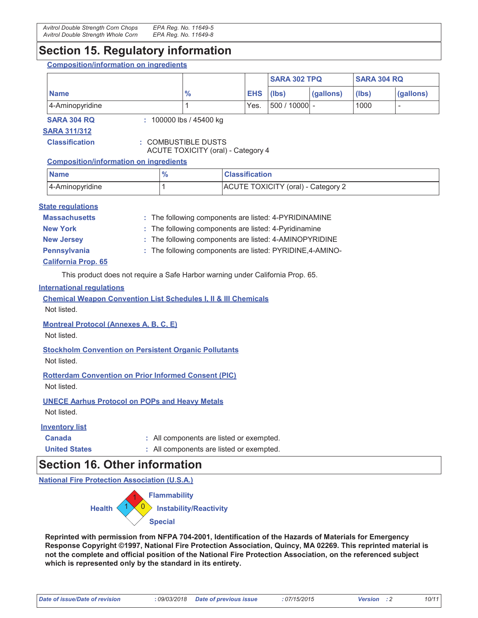### **Section 15. Regulatory information**

**Composition/information on ingredients** 

|                 |    |            | <b>SARA 302 TPQ</b> |           | <b>SARA 304 RQ</b> |           |
|-----------------|----|------------|---------------------|-----------|--------------------|-----------|
| <b>Name</b>     | 70 | <b>EHS</b> | (lbs)               | (gallons) | (lbs)              | (gallons) |
| 4-Aminopyridine |    | Yes.       | 500 / 10000 -       |           | 1000               |           |

### **SARA 304 RQ**

: 100000 lbs / 45400 kg

**SARA 311/312** 

**Classification** 

: COMBUSTIBLE DUSTS ACUTE TOXICITY (oral) - Category 4

### **Composition/information on ingredients**

| <b>Name</b>     | о. | <b>Classification</b>              |
|-----------------|----|------------------------------------|
| 4-Aminopyridine |    | ACUTE TOXICITY (oral) - Category 2 |

### **State regulations**

| <b>Massachusetts</b> | : The following components are listed: 4-PYRIDINAMINE     |
|----------------------|-----------------------------------------------------------|
| <b>New York</b>      | : The following components are listed: 4-Pyridinamine     |
| <b>New Jersey</b>    | : The following components are listed: 4-AMINOPYRIDINE    |
| Pennsylvania         | : The following components are listed: PYRIDINE, 4-AMINO- |
| $A - B = 1$          |                                                           |

### <u>California Prop. 65</u>

This product does not require a Safe Harbor warning under California Prop. 65.

### **International regulations**

**Chemical Weapon Convention List Schedules I, II & III Chemicals** 

Not listed.

**Montreal Protocol (Annexes A, B, C, E)** 

Not listed.

**Stockholm Convention on Persistent Organic Pollutants** Not listed.

**Rotterdam Convention on Prior Informed Consent (PIC)** Not listed.

**UNECE Aarhus Protocol on POPs and Heavy Metals** Not listed.

### **Inventory list**

- **Canada**
- : All components are listed or exempted.

**United States** : All components are listed or exempted.

### **Section 16. Other information**

**National Fire Protection Association (U.S.A.)** 



Reprinted with permission from NFPA 704-2001, Identification of the Hazards of Materials for Emergency Response Copyright ©1997, National Fire Protection Association, Quincy, MA 02269. This reprinted material is not the complete and official position of the National Fire Protection Association, on the referenced subject which is represented only by the standard in its entirety.